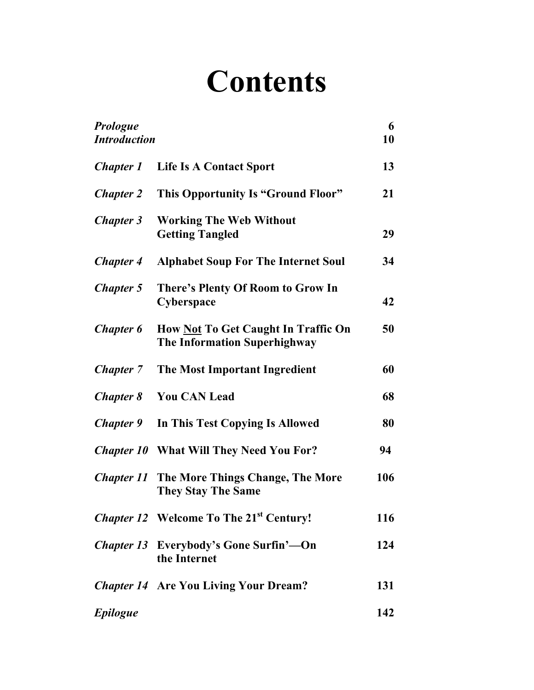# **Contents**

| <b>Prologue</b><br><b>Introduction</b> |                                                                                 | 6<br>10 |
|----------------------------------------|---------------------------------------------------------------------------------|---------|
|                                        |                                                                                 |         |
| <b>Chapter 2</b>                       | This Opportunity Is "Ground Floor"                                              | 21      |
| <b>Chapter 3</b>                       | <b>Working The Web Without</b><br><b>Getting Tangled</b>                        | 29      |
| <b>Chapter 4</b>                       | <b>Alphabet Soup For The Internet Soul</b>                                      | 34      |
| <b>Chapter 5</b>                       | There's Plenty Of Room to Grow In<br><b>Cyberspace</b>                          | 42      |
| <b>Chapter 6</b>                       | How Not To Get Caught In Traffic On<br><b>The Information Superhighway</b>      | 50      |
| <b>Chapter</b> 7                       | The Most Important Ingredient                                                   | 60      |
| <b>Chapter 8</b>                       | <b>You CAN Lead</b>                                                             | 68      |
| <b>Chapter 9</b>                       | In This Test Copying Is Allowed                                                 | 80      |
|                                        | <b>Chapter 10 What Will They Need You For?</b>                                  | 94      |
|                                        | <b>Chapter 11 The More Things Change, The More</b><br><b>They Stay The Same</b> | 106     |
|                                        | <b>Chapter 12</b> Welcome To The 21 <sup>st</sup> Century!                      | 116     |
|                                        | <i>Chapter 13</i> Everybody's Gone Surfin'—On<br>the Internet                   | 124     |
|                                        | <b>Chapter 14</b> Are You Living Your Dream?                                    | 131     |
| <b>Epilogue</b>                        |                                                                                 | 142     |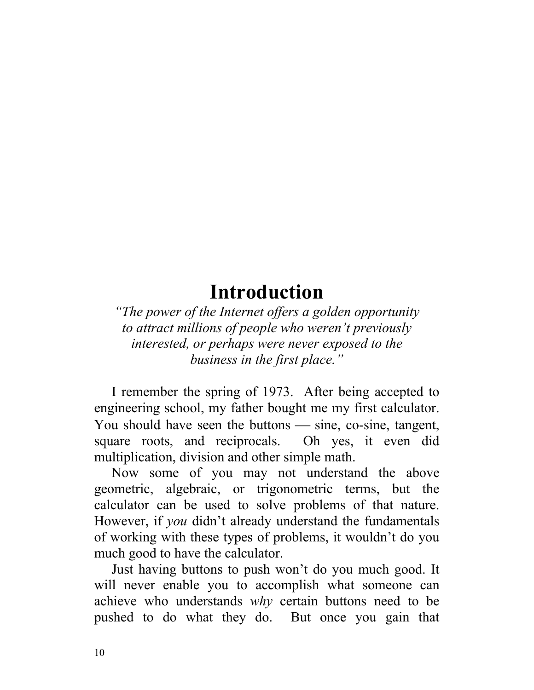# **Introduction**

*"The power of the Internet offers a golden opportunity to attract millions of people who weren't previously interested, or perhaps were never exposed to the business in the first place."* 

 I remember the spring of 1973. After being accepted to engineering school, my father bought me my first calculator. You should have seen the buttons  $\frac{m}{n}$  sine, co-sine, tangent, square roots, and reciprocals. Oh yes, it even did multiplication, division and other simple math.

 Now some of you may not understand the above geometric, algebraic, or trigonometric terms, but the calculator can be used to solve problems of that nature. However, if *you* didn't already understand the fundamentals of working with these types of problems, it wouldn't do you much good to have the calculator.

 Just having buttons to push won't do you much good. It will never enable you to accomplish what someone can achieve who understands *why* certain buttons need to be pushed to do what they do. But once you gain that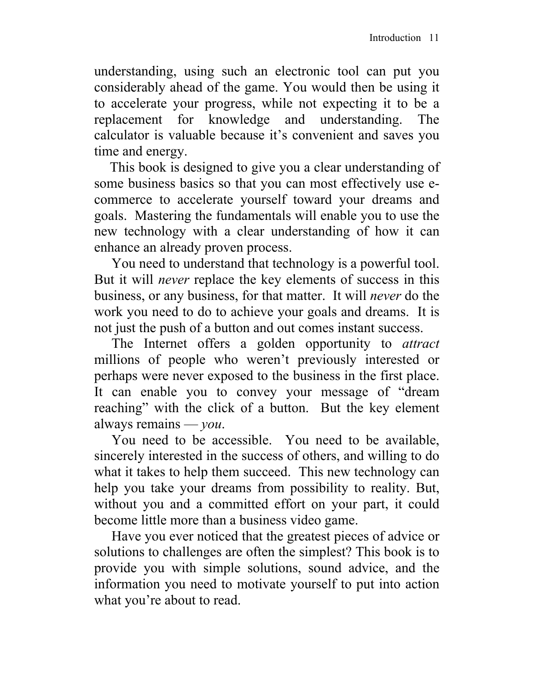understanding, using such an electronic tool can put you considerably ahead of the game. You would then be using it to accelerate your progress, while not expecting it to be a replacement for knowledge and understanding. The calculator is valuable because it's convenient and saves you time and energy.

This book is designed to give you a clear understanding of some business basics so that you can most effectively use ecommerce to accelerate yourself toward your dreams and goals. Mastering the fundamentals will enable you to use the new technology with a clear understanding of how it can enhance an already proven process.

 You need to understand that technology is a powerful tool. But it will *never* replace the key elements of success in this business, or any business, for that matter. It will *never* do the work you need to do to achieve your goals and dreams. It is not just the push of a button and out comes instant success.

 The Internet offers a golden opportunity to *attract* millions of people who weren't previously interested or perhaps were never exposed to the business in the first place. It can enable you to convey your message of "dream reaching" with the click of a button. But the key element always remains — *you*.

 You need to be accessible. You need to be available, sincerely interested in the success of others, and willing to do what it takes to help them succeed. This new technology can help you take your dreams from possibility to reality. But, without you and a committed effort on your part, it could become little more than a business video game.

 Have you ever noticed that the greatest pieces of advice or solutions to challenges are often the simplest? This book is to provide you with simple solutions, sound advice, and the information you need to motivate yourself to put into action what you're about to read.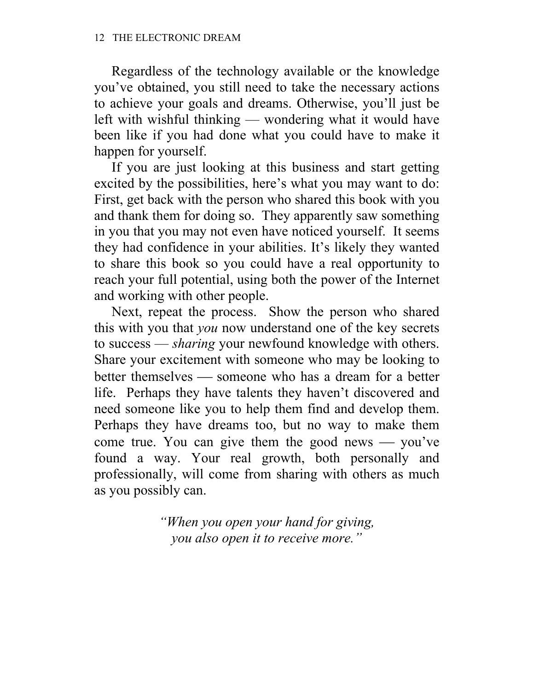Regardless of the technology available or the knowledge you've obtained, you still need to take the necessary actions to achieve your goals and dreams. Otherwise, you'll just be left with wishful thinking — wondering what it would have been like if you had done what you could have to make it happen for yourself.

 If you are just looking at this business and start getting excited by the possibilities, here's what you may want to do: First, get back with the person who shared this book with you and thank them for doing so. They apparently saw something in you that you may not even have noticed yourself. It seems they had confidence in your abilities. It's likely they wanted to share this book so you could have a real opportunity to reach your full potential, using both the power of the Internet and working with other people.

 Next, repeat the process. Show the person who shared this with you that *you* now understand one of the key secrets to success — *sharing* your newfound knowledge with others. Share your excitement with someone who may be looking to better themselves — someone who has a dream for a better life. Perhaps they have talents they haven't discovered and need someone like you to help them find and develop them. Perhaps they have dreams too, but no way to make them come true. You can give them the good news  $-$  you've found a way. Your real growth, both personally and professionally, will come from sharing with others as much as you possibly can.

> *"When you open your hand for giving, you also open it to receive more."*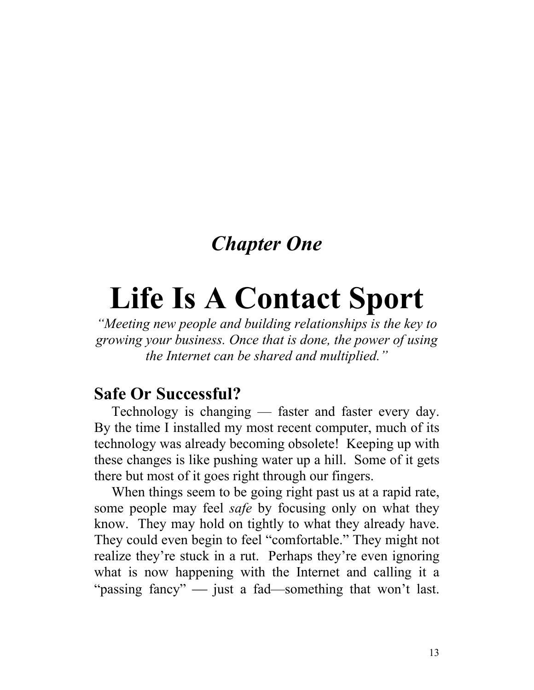# *Chapter One*

# **Life Is A Contact Sport**

*"Meeting new people and building relationships is the key to growing your business. Once that is done, the power of using the Internet can be shared and multiplied."* 

#### **Safe Or Successful?**

 Technology is changing — faster and faster every day. By the time I installed my most recent computer, much of its technology was already becoming obsolete! Keeping up with these changes is like pushing water up a hill. Some of it gets there but most of it goes right through our fingers.

 When things seem to be going right past us at a rapid rate, some people may feel *safe* by focusing only on what they know. They may hold on tightly to what they already have. They could even begin to feel "comfortable." They might not realize they're stuck in a rut. Perhaps they're even ignoring what is now happening with the Internet and calling it a "passing fancy"  $\frac{1}{2}$  just a fad—something that won't last.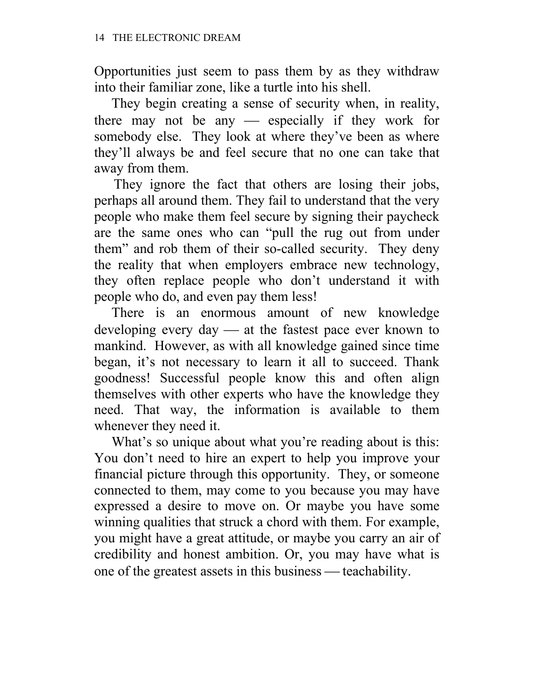Opportunities just seem to pass them by as they withdraw into their familiar zone, like a turtle into his shell.

 They begin creating a sense of security when, in reality, there may not be any  $\sim$  especially if they work for somebody else. They look at where they've been as where they'll always be and feel secure that no one can take that away from them.

They ignore the fact that others are losing their jobs, perhaps all around them. They fail to understand that the very people who make them feel secure by signing their paycheck are the same ones who can "pull the rug out from under them" and rob them of their so-called security. They deny the reality that when employers embrace new technology, they often replace people who don't understand it with people who do, and even pay them less!

 There is an enormous amount of new knowledge developing every day  $\frac{1}{\sqrt{2}}$  at the fastest pace ever known to mankind. However, as with all knowledge gained since time began, it's not necessary to learn it all to succeed. Thank goodness! Successful people know this and often align themselves with other experts who have the knowledge they need. That way, the information is available to them whenever they need it.

What's so unique about what you're reading about is this: You don't need to hire an expert to help you improve your financial picture through this opportunity. They, or someone connected to them, may come to you because you may have expressed a desire to move on. Or maybe you have some winning qualities that struck a chord with them. For example, you might have a great attitude, or maybe you carry an air of credibility and honest ambition. Or, you may have what is one of the greatest assets in this business — teachability.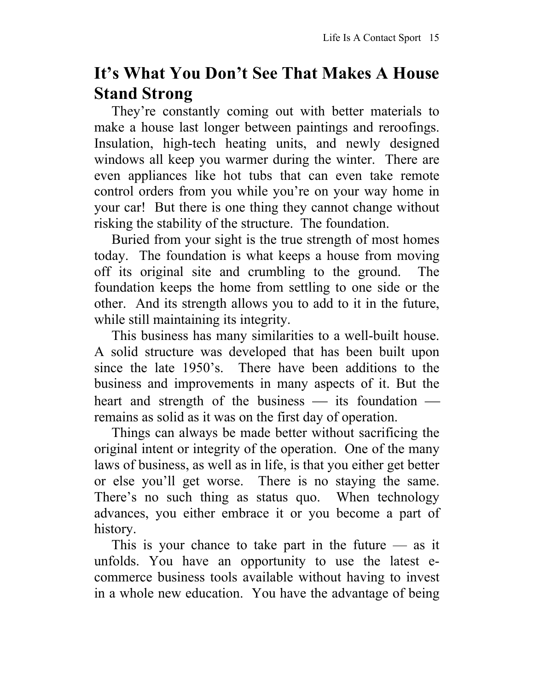## **It's What You Don't See That Makes A House Stand Strong**

 They're constantly coming out with better materials to make a house last longer between paintings and reroofings. Insulation, high-tech heating units, and newly designed windows all keep you warmer during the winter. There are even appliances like hot tubs that can even take remote control orders from you while you're on your way home in your car! But there is one thing they cannot change without risking the stability of the structure. The foundation.

 Buried from your sight is the true strength of most homes today. The foundation is what keeps a house from moving off its original site and crumbling to the ground. The foundation keeps the home from settling to one side or the other. And its strength allows you to add to it in the future, while still maintaining its integrity.

 This business has many similarities to a well-built house. A solid structure was developed that has been built upon since the late 1950's. There have been additions to the business and improvements in many aspects of it. But the heart and strength of the business  $-$  its foundation  $$ remains as solid as it was on the first day of operation.

 Things can always be made better without sacrificing the original intent or integrity of the operation. One of the many laws of business, as well as in life, is that you either get better or else you'll get worse. There is no staying the same. There's no such thing as status quo. When technology advances, you either embrace it or you become a part of history.

This is your chance to take part in the future  $-$  as it unfolds. You have an opportunity to use the latest ecommerce business tools available without having to invest in a whole new education. You have the advantage of being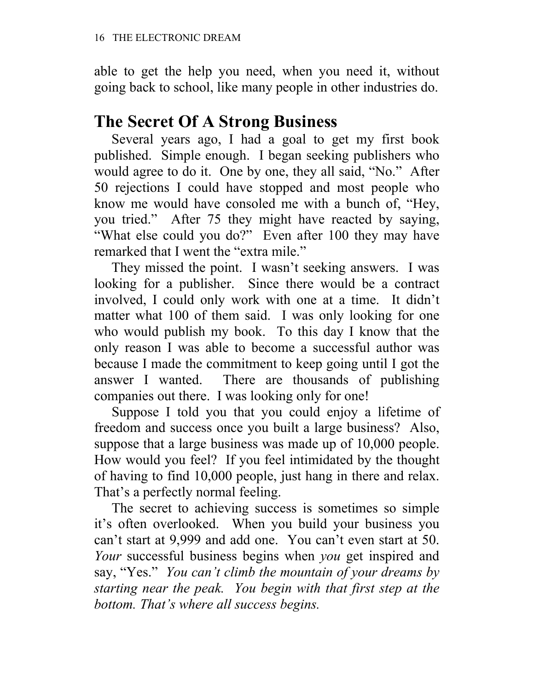able to get the help you need, when you need it, without going back to school, like many people in other industries do.

### **The Secret Of A Strong Business**

 Several years ago, I had a goal to get my first book published. Simple enough. I began seeking publishers who would agree to do it. One by one, they all said, "No." After 50 rejections I could have stopped and most people who know me would have consoled me with a bunch of, "Hey, you tried." After 75 they might have reacted by saying, "What else could you do?" Even after 100 they may have remarked that I went the "extra mile."

 They missed the point. I wasn't seeking answers. I was looking for a publisher. Since there would be a contract involved, I could only work with one at a time. It didn't matter what 100 of them said. I was only looking for one who would publish my book. To this day I know that the only reason I was able to become a successful author was because I made the commitment to keep going until I got the answer I wanted. There are thousands of publishing companies out there. I was looking only for one!

 Suppose I told you that you could enjoy a lifetime of freedom and success once you built a large business? Also, suppose that a large business was made up of 10,000 people. How would you feel? If you feel intimidated by the thought of having to find 10,000 people, just hang in there and relax. That's a perfectly normal feeling.

 The secret to achieving success is sometimes so simple it's often overlooked. When you build your business you can't start at 9,999 and add one. You can't even start at 50. *Your* successful business begins when *you* get inspired and say, "Yes." *You can't climb the mountain of your dreams by starting near the peak. You begin with that first step at the bottom. That's where all success begins.*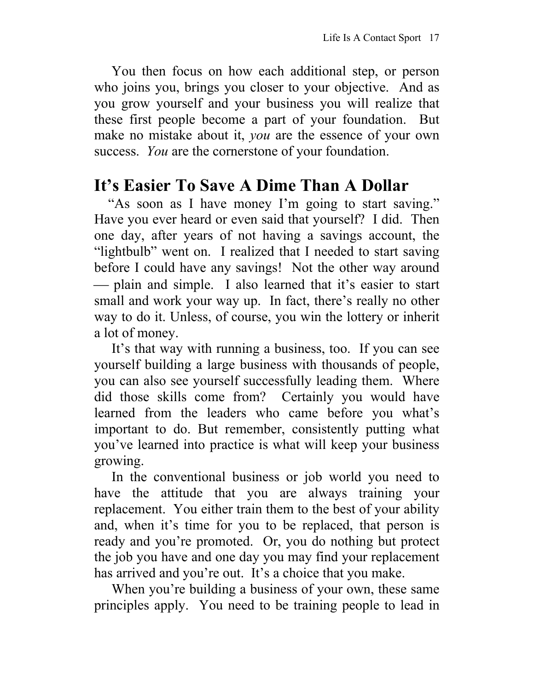You then focus on how each additional step, or person who joins you, brings you closer to your objective. And as you grow yourself and your business you will realize that these first people become a part of your foundation. But make no mistake about it, *you* are the essence of your own success. *You* are the cornerstone of your foundation.

### **It's Easier To Save A Dime Than A Dollar**

 "As soon as I have money I'm going to start saving." Have you ever heard or even said that yourself? I did. Then one day, after years of not having a savings account, the "lightbulb" went on. I realized that I needed to start saving before I could have any savings! Not the other way around — plain and simple. I also learned that it's easier to start small and work your way up. In fact, there's really no other way to do it. Unless, of course, you win the lottery or inherit a lot of money.

 It's that way with running a business, too. If you can see yourself building a large business with thousands of people, you can also see yourself successfully leading them. Where did those skills come from? Certainly you would have learned from the leaders who came before you what's important to do. But remember, consistently putting what you've learned into practice is what will keep your business growing.

 In the conventional business or job world you need to have the attitude that you are always training your replacement. You either train them to the best of your ability and, when it's time for you to be replaced, that person is ready and you're promoted. Or, you do nothing but protect the job you have and one day you may find your replacement has arrived and you're out. It's a choice that you make.

When you're building a business of your own, these same principles apply. You need to be training people to lead in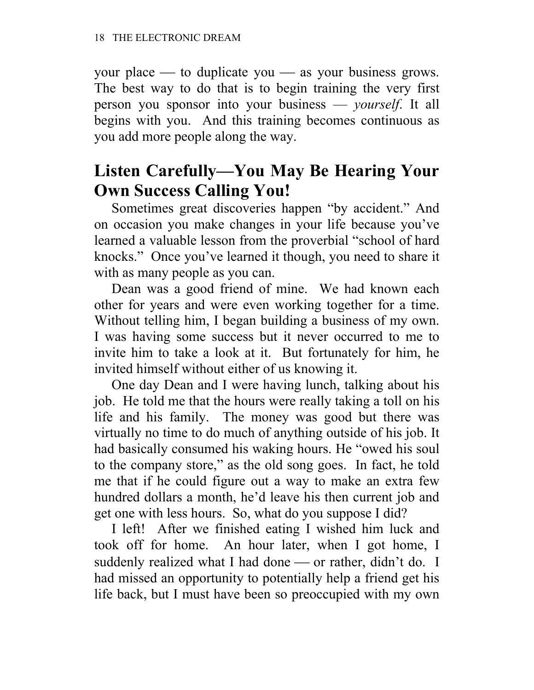your place  $\sim$  to duplicate you  $\sim$  as your business grows. The best way to do that is to begin training the very first person you sponsor into your business — *yourself*. It all begins with you. And this training becomes continuous as you add more people along the way.

## **Listen Carefully—You May Be Hearing Your Own Success Calling You!**

 Sometimes great discoveries happen "by accident." And on occasion you make changes in your life because you've learned a valuable lesson from the proverbial "school of hard knocks." Once you've learned it though, you need to share it with as many people as you can.

 Dean was a good friend of mine. We had known each other for years and were even working together for a time. Without telling him, I began building a business of my own. I was having some success but it never occurred to me to invite him to take a look at it. But fortunately for him, he invited himself without either of us knowing it.

 One day Dean and I were having lunch, talking about his job. He told me that the hours were really taking a toll on his life and his family. The money was good but there was virtually no time to do much of anything outside of his job. It had basically consumed his waking hours. He "owed his soul to the company store," as the old song goes. In fact, he told me that if he could figure out a way to make an extra few hundred dollars a month, he'd leave his then current job and get one with less hours. So, what do you suppose I did?

 I left! After we finished eating I wished him luck and took off for home. An hour later, when I got home, I suddenly realized what I had done  $-$  or rather, didn't do. I had missed an opportunity to potentially help a friend get his life back, but I must have been so preoccupied with my own